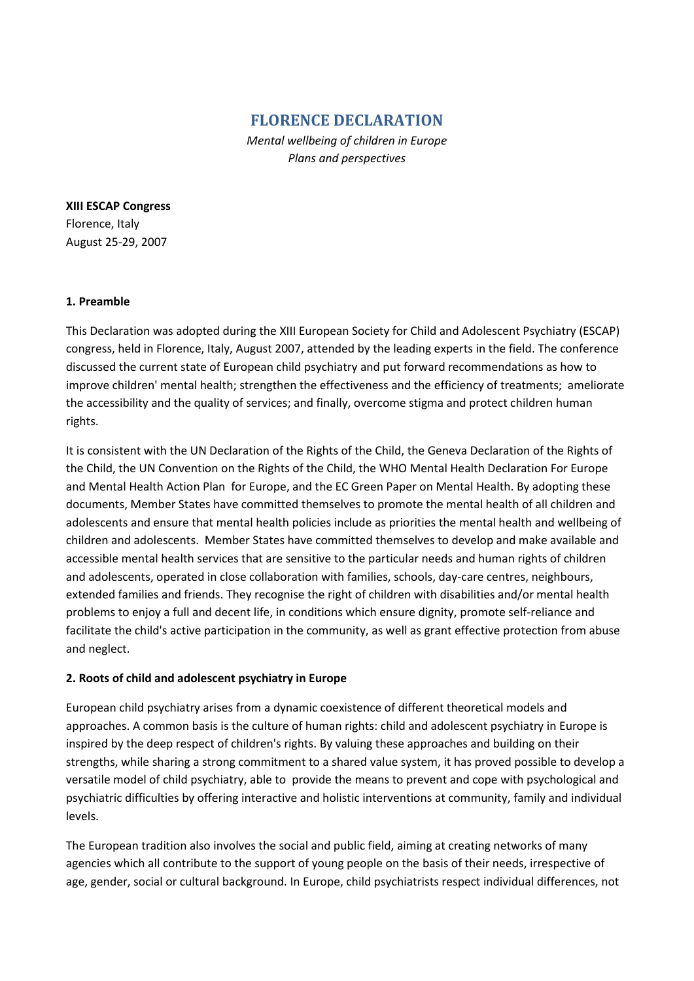# **FLORENCE DECLARATION**

*Mental wellbeing of children in Europe Plans and perspectives*

**XIII ESCAP Congress** Florence, Italy August 25-29, 2007

## **1. Preamble**

This Declaration was adopted during the XIII European Society for Child and Adolescent Psychiatry (ESCAP) congress, held in Florence, Italy, August 2007, attended by the leading experts in the field. The conference discussed the current state of European child psychiatry and put forward recommendations as how to improve children' mental health; strengthen the effectiveness and the efficiency of treatments; ameliorate the accessibility and the quality of services; and finally, overcome stigma and protect children human rights.

It is consistent with the UN Declaration of the Rights of the Child, the Geneva Declaration of the Rights of the Child, the UN Convention on the Rights of the Child, the WHO Mental Health Declaration For Europe and Mental Health Action Plan for Europe, and the EC Green Paper on Mental Health. By adopting these documents, Member States have committed themselves to promote the mental health of all children and adolescents and ensure that mental health policies include as priorities the mental health and wellbeing of children and adolescents. Member States have committed themselves to develop and make available and accessible mental health services that are sensitive to the particular needs and human rights of children and adolescents, operated in close collaboration with families, schools, day-care centres, neighbours, extended families and friends. They recognise the right of children with disabilities and/or mental health problems to enjoy a full and decent life, in conditions which ensure dignity, promote self-reliance and facilitate the child's active participation in the community, as well as grant effective protection from abuse and neglect.

## **2. Roots of child and adolescent psychiatry in Europe**

European child psychiatry arises from a dynamic coexistence of different theoretical models and approaches. A common basis is the culture of human rights: child and adolescent psychiatry in Europe is inspired by the deep respect of children's rights. By valuing these approaches and building on their strengths, while sharing a strong commitment to a shared value system, it has proved possible to develop a versatile model of child psychiatry, able to provide the means to prevent and cope with psychological and psychiatric difficulties by offering interactive and holistic interventions at community, family and individual levels.

The European tradition also involves the social and public field, aiming at creating networks of many agencies which all contribute to the support of young people on the basis of their needs, irrespective of age, gender, social or cultural background. In Europe, child psychiatrists respect individual differences, not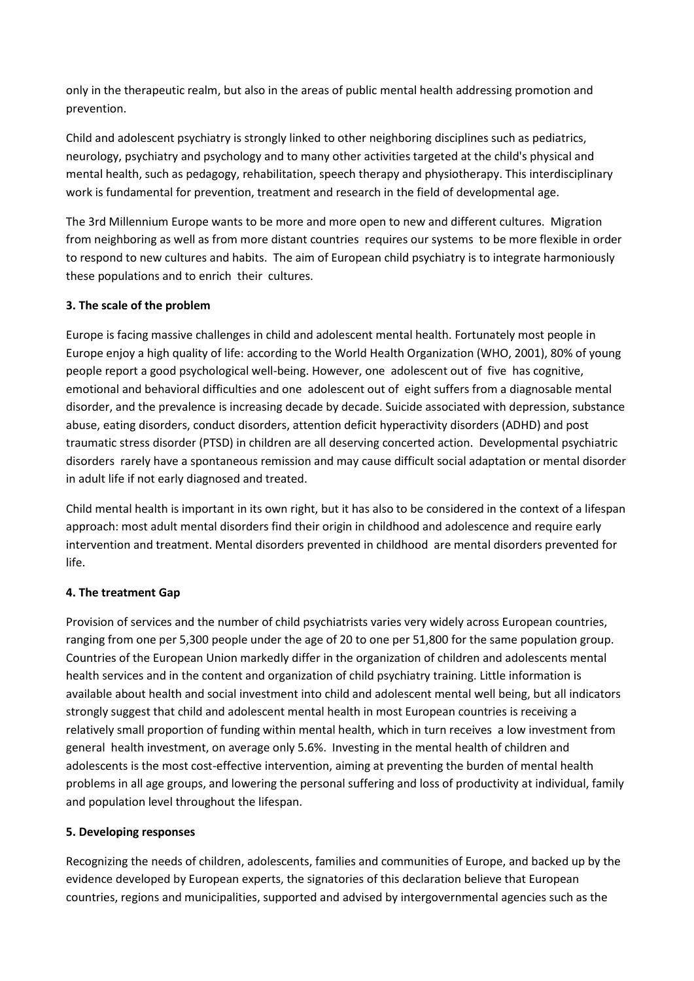only in the therapeutic realm, but also in the areas of public mental health addressing promotion and prevention.

Child and adolescent psychiatry is strongly linked to other neighboring disciplines such as pediatrics, neurology, psychiatry and psychology and to many other activities targeted at the child's physical and mental health, such as pedagogy, rehabilitation, speech therapy and physiotherapy. This interdisciplinary work is fundamental for prevention, treatment and research in the field of developmental age.

The 3rd Millennium Europe wants to be more and more open to new and different cultures. Migration from neighboring as well as from more distant countries requires our systems to be more flexible in order to respond to new cultures and habits. The aim of European child psychiatry is to integrate harmoniously these populations and to enrich their cultures.

## **3. The scale of the problem**

Europe is facing massive challenges in child and adolescent mental health. Fortunately most people in Europe enjoy a high quality of life: according to the World Health Organization (WHO, 2001), 80% of young people report a good psychological well-being. However, one adolescent out of five has cognitive, emotional and behavioral difficulties and one adolescent out of eight suffers from a diagnosable mental disorder, and the prevalence is increasing decade by decade. Suicide associated with depression, substance abuse, eating disorders, conduct disorders, attention deficit hyperactivity disorders (ADHD) and post traumatic stress disorder (PTSD) in children are all deserving concerted action. Developmental psychiatric disorders rarely have a spontaneous remission and may cause difficult social adaptation or mental disorder in adult life if not early diagnosed and treated.

Child mental health is important in its own right, but it has also to be considered in the context of a lifespan approach: most adult mental disorders find their origin in childhood and adolescence and require early intervention and treatment. Mental disorders prevented in childhood are mental disorders prevented for life.

## **4. The treatment Gap**

Provision of services and the number of child psychiatrists varies very widely across European countries, ranging from one per 5,300 people under the age of 20 to one per 51,800 for the same population group. Countries of the European Union markedly differ in the organization of children and adolescents mental health services and in the content and organization of child psychiatry training. Little information is available about health and social investment into child and adolescent mental well being, but all indicators strongly suggest that child and adolescent mental health in most European countries is receiving a relatively small proportion of funding within mental health, which in turn receives a low investment from general health investment, on average only 5.6%. Investing in the mental health of children and adolescents is the most cost-effective intervention, aiming at preventing the burden of mental health problems in all age groups, and lowering the personal suffering and loss of productivity at individual, family and population level throughout the lifespan.

## **5. Developing responses**

Recognizing the needs of children, adolescents, families and communities of Europe, and backed up by the evidence developed by European experts, the signatories of this declaration believe that European countries, regions and municipalities, supported and advised by intergovernmental agencies such as the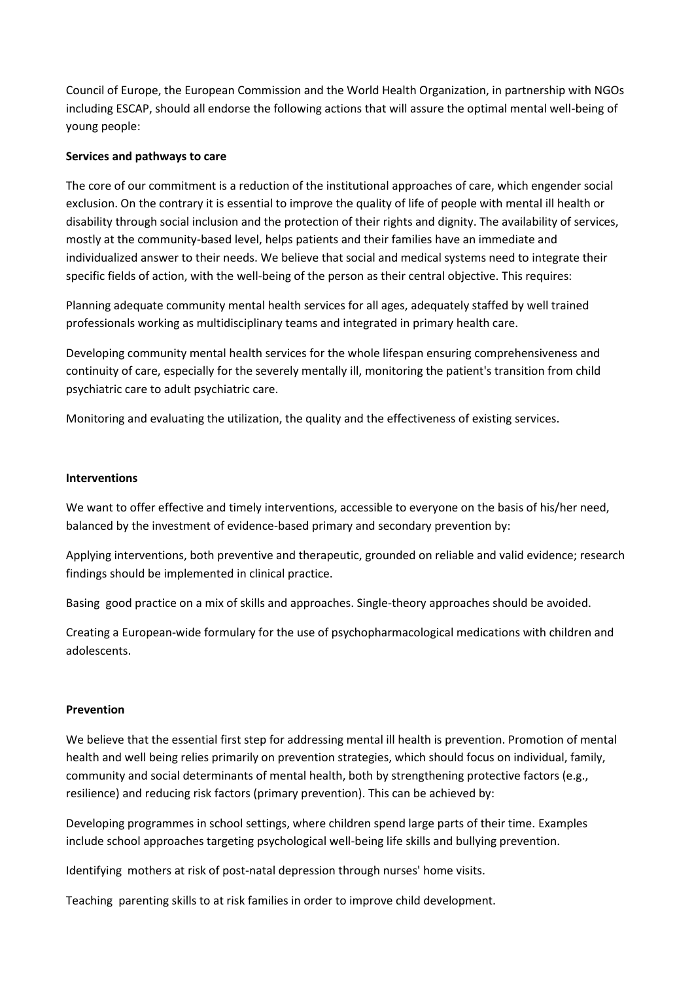Council of Europe, the European Commission and the World Health Organization, in partnership with NGOs including ESCAP, should all endorse the following actions that will assure the optimal mental well-being of young people:

#### **Services and pathways to care**

The core of our commitment is a reduction of the institutional approaches of care, which engender social exclusion. On the contrary it is essential to improve the quality of life of people with mental ill health or disability through social inclusion and the protection of their rights and dignity. The availability of services, mostly at the community-based level, helps patients and their families have an immediate and individualized answer to their needs. We believe that social and medical systems need to integrate their specific fields of action, with the well-being of the person as their central objective. This requires:

Planning adequate community mental health services for all ages, adequately staffed by well trained professionals working as multidisciplinary teams and integrated in primary health care.

Developing community mental health services for the whole lifespan ensuring comprehensiveness and continuity of care, especially for the severely mentally ill, monitoring the patient's transition from child psychiatric care to adult psychiatric care.

Monitoring and evaluating the utilization, the quality and the effectiveness of existing services.

#### **Interventions**

We want to offer effective and timely interventions, accessible to everyone on the basis of his/her need, balanced by the investment of evidence-based primary and secondary prevention by:

Applying interventions, both preventive and therapeutic, grounded on reliable and valid evidence; research findings should be implemented in clinical practice.

Basing good practice on a mix of skills and approaches. Single-theory approaches should be avoided.

Creating a European-wide formulary for the use of psychopharmacological medications with children and adolescents.

#### **Prevention**

We believe that the essential first step for addressing mental ill health is prevention. Promotion of mental health and well being relies primarily on prevention strategies, which should focus on individual, family, community and social determinants of mental health, both by strengthening protective factors (e.g., resilience) and reducing risk factors (primary prevention). This can be achieved by:

Developing programmes in school settings, where children spend large parts of their time. Examples include school approaches targeting psychological well-being life skills and bullying prevention.

Identifying mothers at risk of post-natal depression through nurses' home visits.

Teaching parenting skills to at risk families in order to improve child development.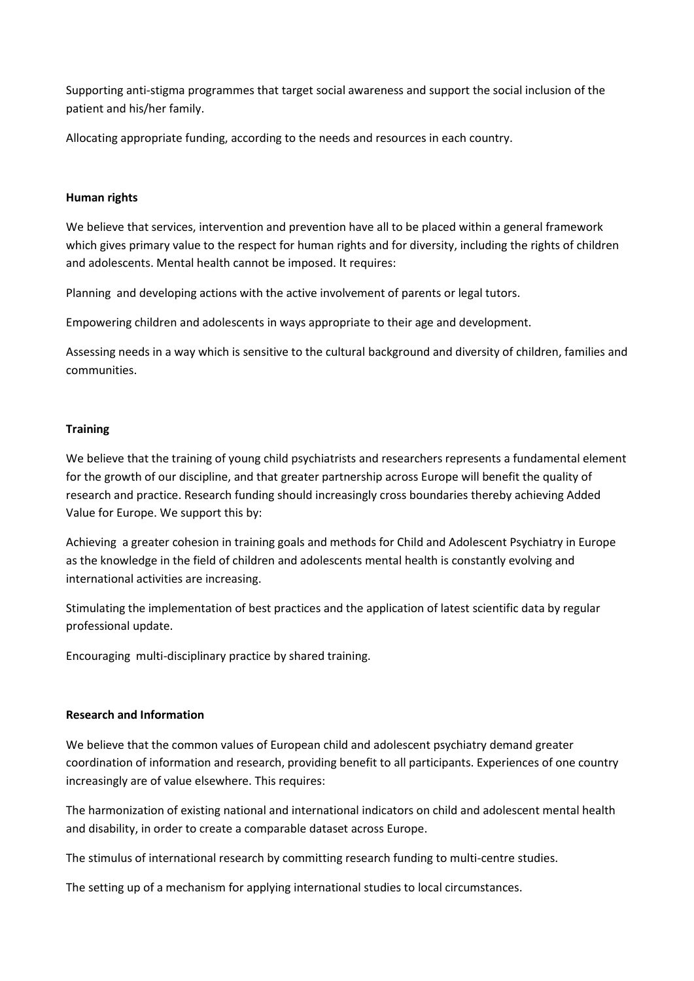Supporting anti-stigma programmes that target social awareness and support the social inclusion of the patient and his/her family.

Allocating appropriate funding, according to the needs and resources in each country.

#### **Human rights**

We believe that services, intervention and prevention have all to be placed within a general framework which gives primary value to the respect for human rights and for diversity, including the rights of children and adolescents. Mental health cannot be imposed. It requires:

Planning and developing actions with the active involvement of parents or legal tutors.

Empowering children and adolescents in ways appropriate to their age and development.

Assessing needs in a way which is sensitive to the cultural background and diversity of children, families and communities.

## **Training**

We believe that the training of young child psychiatrists and researchers represents a fundamental element for the growth of our discipline, and that greater partnership across Europe will benefit the quality of research and practice. Research funding should increasingly cross boundaries thereby achieving Added Value for Europe. We support this by:

Achieving a greater cohesion in training goals and methods for Child and Adolescent Psychiatry in Europe as the knowledge in the field of children and adolescents mental health is constantly evolving and international activities are increasing.

Stimulating the implementation of best practices and the application of latest scientific data by regular professional update.

Encouraging multi-disciplinary practice by shared training.

#### **Research and Information**

We believe that the common values of European child and adolescent psychiatry demand greater coordination of information and research, providing benefit to all participants. Experiences of one country increasingly are of value elsewhere. This requires:

The harmonization of existing national and international indicators on child and adolescent mental health and disability, in order to create a comparable dataset across Europe.

The stimulus of international research by committing research funding to multi-centre studies.

The setting up of a mechanism for applying international studies to local circumstances.